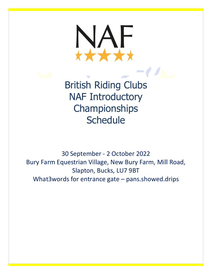

British Riding Clubs NAF Introductory **Championships Schedule** 

30 September - 2 October 2022 Bury Farm Equestrian Village, New Bury Farm, Mill Road, Slapton, Bucks, LU7 9BT What3words for entrance gate – pans.showed.drips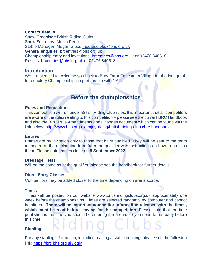#### **Contact details**

Show Organiser: British Riding Clubs Show Secretary: Merlin Perlo Stable Manager: Megan Gibbs [megan.gibbs@bhs.org.uk](mailto:megan.gibbs@bhs.org.uk) General enquiries: brcentries@bhs.org.uk Championship entry and invitations: [brcentries@bhs.org.uk](mailto:brcentries@bhs.org.uk) or 02476 840518 Results: [brcentries@bhs.org.uk](mailto:brcentries@bhs.org.uk) or 02476 840518

### **Introduction**

We are pleased to welcome you back to Bury Farm Equestrian Village for the inaugural Introductory Championships in partnership with NAF.

# **Before the championships**

#### **Rules and Regulations**

This competition will run under British Riding Club rules. It is important that all competitors are aware of the rules relating to this competition – please see the current BRC Handbook and also the BRC Rule Amendments and Changes document which can be found via the link below:<http://www.bhs.org.uk/enjoy-riding/british-riding-clubs/brc-handbook>

#### **Entries**

Entries are by invitation only to those that have qualified. They will be sent to the team manager on the declaration form from the qualifier with instructions on how to process them. Please note entries close on **8 September 2022**.

#### **Dressage Tests**

Will be the same as at the qualifier, please see the handbook for further details.

#### **Direct Entry Classes**

Competitors may be added closer to the time depending on arena space.

#### **Times**

Times will be posted on our website [www.britishridingclubs.org.uk](http://www.britishridingclubs.org.uk/) approximately one week before the championships. Times are selected randomly by computer and cannot be altered. **There will be important competitor information released with the times, which must be read before leaving for the competition**. Please note that the time published is the time you should be entering the arena, so you need to be ready before this time.

#### **Stabling**

For any stabling information, including making a stable booking, please see the following link:<https://brc.bhs.org.uk/login>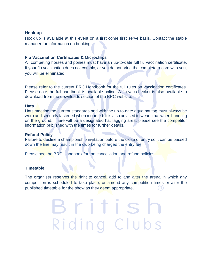#### **Hook-up**

Hook up is available at this event on a first come first serve basis. Contact the stable manager for information on booking.

#### **Flu Vaccination Certificates & Microchips**

All competing horses and ponies must have an up-to-date full flu vaccination certificate. If your flu vaccination does not comply, or you do not bring the complete record with you, you will be eliminated.

Please refer to the current BRC Handbook for the full rules on vaccination certificates. Please note the full handbook is available online. A flu vac checker is also available to download from the downloads section of the BRC website.

#### **Hats**

Hats meeting the current standards and with the up-to-date aqua hat tag must always be worn and securely fastened when mounted. It is also advised to wear a hat when handling on the ground. There will be a designated hat tagging area, please see the competitor information published with the times for further details.

#### **Refund Policy**

Failure to decline a championship invitation before the close of entry so it can be passed down the line may result in the club being charged the entry fee.

Please see the BRC Handbook for the cancellation and refund policies.

#### **Timetable**

The organiser reserves the right to cancel, add to and alter the arena in which any competition is scheduled to take place, or amend any competition times or alter the published timetable for the show as they deem appropriate**.**

> Britis Riding Clubs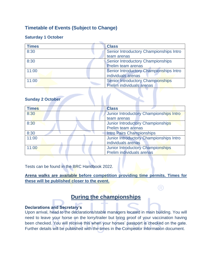## **Timetable of Events (Subject to Change)**

## **Saturday 1 October**

| <b>Times</b> | <b>Class</b>                             |
|--------------|------------------------------------------|
| 8:30         | Senior Introductory Championships Intro  |
|              | team arenas                              |
| 8:30         | <b>Senior Introductory Championships</b> |
|              | Prelim team arenas                       |
| 11:00        | Senior Introductory Championships Intro  |
|              | individuals arenas                       |
| 11:00        | <b>Senior Introductory Championships</b> |
|              | Prelim individuals arenas                |

### **Sunday 2 October**

| <b>Times</b> | <b>Class</b>                             |
|--------------|------------------------------------------|
| 8:30         | Junior Introductory Championships Intro  |
|              | team arenas                              |
| 8:30         | <b>Junior Introductory Championships</b> |
|              | Prelim team arenas                       |
| 8:30         | <b>Intro Pairs Championships</b>         |
| 11:00        | Junior Introductory Championships Intro  |
|              | individuals arenas                       |
| 11:00        | <b>Junior Introductory Championships</b> |
|              | Prelim individuals arenas                |

Tests can be found in the BRC Handbook 2022.

**Arena walks are available before competition providing time permits. Times for these will be published closer to the event.**

R)

# **During the championships**

## **Declarations and Secretary's**

Upon arrival, head to the declarations/stable managers located in main building. You will need to leave your horse on the lorry/trailer but bring proof of your vaccination having been checked. You will receive this when your horses' passport is checked on the gate. Further details will be published with the times in the Competitor Information document.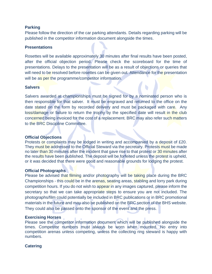#### **Parking**

Please follow the direction of the car parking attendants. Details regarding parking will be published in the competitor information document alongside the times.

#### **Presentations**

Rosettes will be available approximately 30 minutes after final results have been posted, after the official objection period. Please check the scoreboard for the time of presentations. Delays to the presentation will be as a result of objections or queries that will need to be resolved before rosettes can be given out. Attendance for the presentation will be as per the programme/competitor information.

#### **Salvers**

Salvers awarded at championships must be signed for by a nominated person who is then responsible for that salver. It must be engraved and returned to the office on the date stated on the form by recorded delivery and must be packaged with care. Any loss/damage or failure to return the trophy by the specified date will result in the club concerned being invoiced for the cost of a replacement. BRC may also refer such matters to the BRC Discipline Committee.

#### **Official Objections**

Protests or complaints may be lodged in writing and accompanied by a deposit of £20. They must be addressed to the Official Steward via the secretary. Protests must be made no later than 30 minutes after the incident that gave rise to that protest or 30 minutes after the results have been published. The deposit will be forfeited unless the protest is upheld, or it was decided that there were good and reasonable grounds for lodging the protest.

#### **Official Photographs**

Please be advised that filming and/or photography will be taking place during the BRC Championships - this could be in the arenas, seating areas, stabling and lorry park during competition hours. If you do not wish to appear in any images captured, please inform the secretary so that we can take appropriate steps to ensure you are not included. The photographs/film could potentially be included in BRC publications or in BRC promotional materials in the future and may also be published on the BRC section of the BHS website. They could also be passed onto the sponsor of the event and the press.

#### **Exercising Horses**

Please see the competitor information document which will be published alongside the times. Competitor numbers must always be worn when mounted. No entry into competition arenas unless competing, unless the collecting ring steward is happy with numbers.

#### **Catering**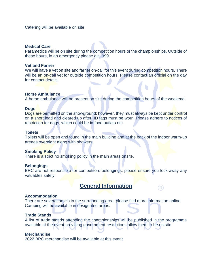Catering will be available on site.

#### **Medical Care**

Paramedics will be on site during the competition hours of the championships. Outside of these hours, in an emergency please dial 999.

#### **Vet and Farrier**

We will have a vet on site and farrier on-call for this event during competition hours. There will be an on-call vet for outside competition hours. Please contact an official on the day for contact details.

#### **Horse Ambulance**

A horse ambulance will be present on site during the competition hours of the weekend.

#### **Dogs**

Dogs are permitted on the showground; however, they must always be kept under control on a short lead and cleared up after. ID tags must be worn. Please adhere to notices of restriction for dogs, which could be in food outlets etc.

#### **Toilets**

Toilets will be open and found in the main building and at the back of the indoor warm-up arenas overnight along with showers.

#### **Smoking Policy**

There is a strict no smoking policy in the main areas onsite.

#### **Belongings**

BRC are not responsible for competitors belongings, please ensure you lock away any valuables safely.

## **General Information**

R)

#### **Accommodation**

There are several hotels in the surrounding area, please find more information online. Camping will be available in designated areas.

#### **Trade Stands**

A list of trade stands attending the championships will be published in the programme available at the event providing government restrictions allow them to be on site.

#### **Merchandise**

2022 BRC merchandise will be available at this event.